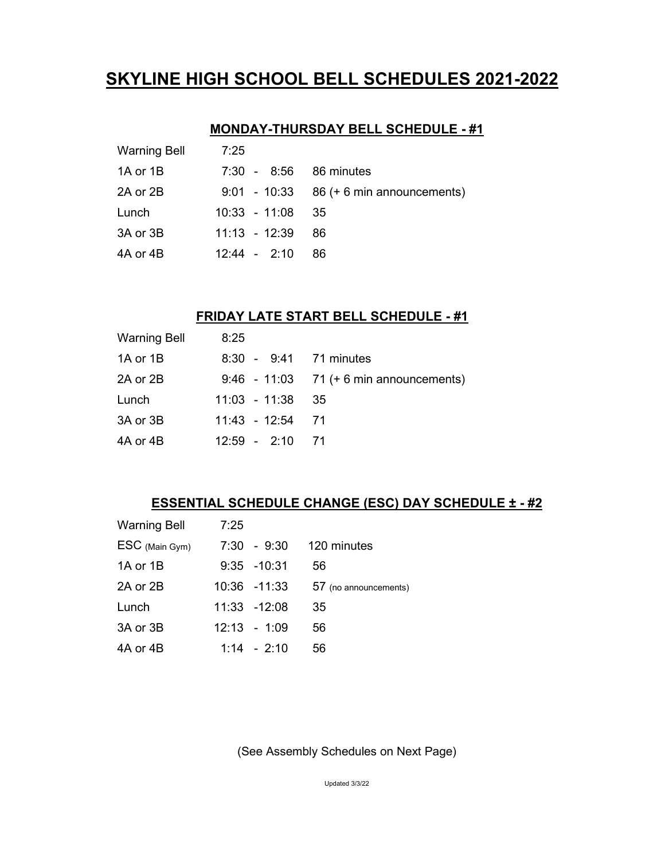# **SKYLINE HIGH SCHOOL BELL SCHEDULES 2021-2022**

## **MONDAY-THURSDAY BELL SCHEDULE - #1**

| Warning Bell | 7:25                   |                                            |
|--------------|------------------------|--------------------------------------------|
| 1A or 1B     | 7:30 - 8:56 86 minutes |                                            |
| 2A or 2B     |                        | $9:01 - 10:33 - 86 + 6$ min announcements) |
| Lunch        | $10:33 - 11:08$ 35     |                                            |
| 3A or 3B     | $11:13 - 12:39$        | -86                                        |
| 4A or 4B     | $12:44 - 2:10$         | 86                                         |

### **FRIDAY LATE START BELL SCHEDULE - #1**

| <b>Warning Bell</b> | 8:25                   |                                             |
|---------------------|------------------------|---------------------------------------------|
| 1A or 1B            | 8:30 - 9:41 71 minutes |                                             |
| 2A or 2B            |                        | $9:46 - 11:03 - 71 (+ 6 min announcements)$ |
| Lunch               | $11:03 - 11:38$ 35     |                                             |
| 3A or 3B            | 11:43 - 12:54 71       |                                             |
| 4A or 4B            | $12:59 - 2:10$ 71      |                                             |

## **ESSENTIAL SCHEDULE CHANGE (ESC) DAY SCHEDULE ± - #2**

| <b>Warning Bell</b> | 7:25 |                |                       |
|---------------------|------|----------------|-----------------------|
| ESC (Main Gym)      |      | $7:30 - 9:30$  | 120 minutes           |
| 1A or 1B            |      | 9:35 -10:31    | 56                    |
| 2A or 2B            |      | 10:36 -11:33   | 57 (no announcements) |
| Lunch               |      | 11:33 -12:08   | 35                    |
| 3A or 3B            |      | $12:13 - 1:09$ | 56                    |
| 4A or 4B            |      | $1:14 - 2:10$  | 56                    |

(See Assembly Schedules on Next Page)

Updated 3/3/22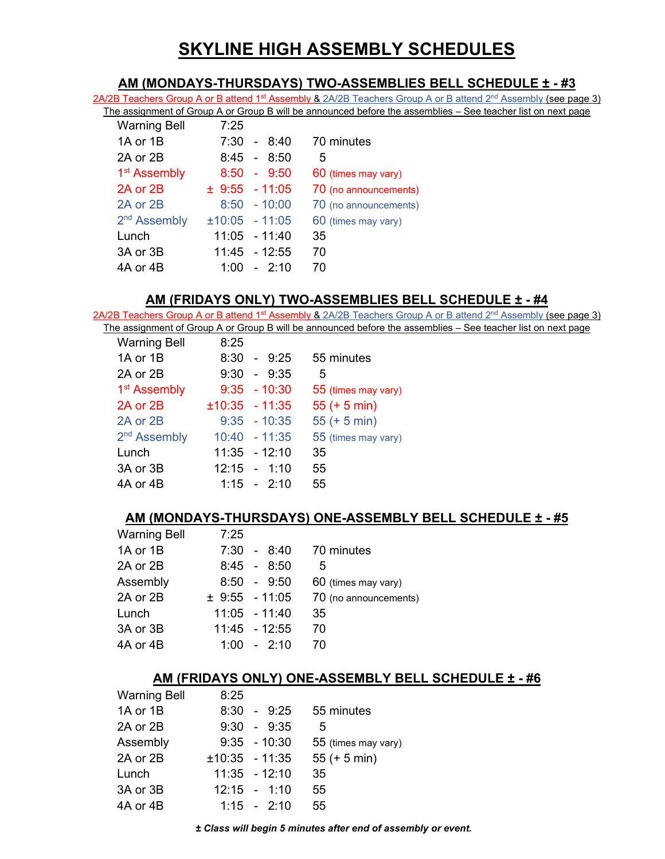# **SKYLINE HIGH ASSEMBLY SCHEDULES**

#### **AM (MONDAYS-THURSDAYS) TWO-ASSEMBLIES BELL SCHEDULE ± - #3**

2A/2B Teachers Group A or B attend 1<sup>st</sup> Assembly & 2A/2B Teachers Group A or B attend 2<sup>nd</sup> Assembly (see page 3) The assignment of Group A or Group B will be announced before the assemblies – See teacher list on next page

| <b>Warning Bell</b>      | 7:25 |                    |                       |
|--------------------------|------|--------------------|-----------------------|
| 1A or 1B                 | 7:30 | - 8:40             | 70 minutes            |
| 2A or 2B                 |      | $8:45 - 8:50$      | 5                     |
| 1 <sup>st</sup> Assembly |      | $8:50 - 9:50$      | 60 (times may vary)   |
| 2A or 2B                 |      | $\pm$ 9:55 - 11:05 | 70 (no announcements) |
| 2A or 2B                 |      | $8:50 - 10:00$     | 70 (no announcements) |
| 2 <sup>nd</sup> Assembly |      | $±10:05 - 11:05$   | 60 (times may vary)   |
| Lunch                    |      | $11:05 - 11:40$    | 35                    |
| 3A or 3B                 |      | 11:45 - 12:55      | 70                    |
| 4A or 4B                 | 1:00 | $-2.10$            | 70                    |
|                          |      |                    |                       |

#### **AM (FRIDAYS ONLY) TWO-ASSEMBLIES BELL SCHEDULE ± - #4**

2A/2B Teachers Group A or B attend 1<sup>st</sup> Assembly & 2A/2B Teachers Group A or B attend 2<sup>nd</sup> Assembly (see page 3) The assignment of Group A or Group B will be announced before the assemblies – See teacher list on next page<br>Warning Bell 8:25

| <b>Warning Bell</b>      | 8:25             |                     |
|--------------------------|------------------|---------------------|
| 1A or 1B                 | $8:30 - 9:25$    | 55 minutes          |
| 2A or 2B                 | $9:30 - 9:35$    | 5                   |
| 1 <sup>st</sup> Assembly | $9:35 - 10:30$   | 55 (times may vary) |
| 2A or 2B                 | $±10:35 - 11:35$ | $55 (+ 5 min)$      |
| 2A or 2B                 | $9:35 - 10:35$   | $55 (+ 5 min)$      |
| 2 <sup>nd</sup> Assembly | $10:40 - 11:35$  | 55 (times may vary) |
| Lunch                    | $11:35 - 12:10$  | 35                  |
| 3A or 3B                 | $12:15 - 1:10$   | 55                  |
| 4A or 4B                 | $1:15 - 2:10$    | 55                  |

#### **AM (MONDAYS-THURSDAYS) ONE-ASSEMBLY BELL SCHEDULE ± - #5**

| <b>Warning Bell</b> | 7:25 |                 |                       |
|---------------------|------|-----------------|-----------------------|
| 1A or 1B            |      | $7:30 - 8:40$   | 70 minutes            |
| 2A or 2B            |      | $8:45 - 8:50$   | 5                     |
| Assembly            |      | $8:50 - 9:50$   | 60 (times may vary)   |
| 2A or 2B            |      | ± 9:55 - 11:05  | 70 (no announcements) |
| Lunch               |      | $11:05 - 11:40$ | 35                    |
| 3A or 3B            |      | $11:45 - 12:55$ | 70                    |
| 4A or 4B            |      | $1:00 - 2:10$   | 70                    |

#### **AM (FRIDAYS ONLY) ONE-ASSEMBLY BELL SCHEDULE ± - #6**

| <b>Warning Bell</b> | 8:25             |                     |
|---------------------|------------------|---------------------|
| 1A or 1B            | $8:30 - 9:25$    | 55 minutes          |
| 2A or 2B            | $9:30 - 9:35$    | 5                   |
| Assembly            | $9:35 - 10:30$   | 55 (times may vary) |
| 2A or 2B            | $±10:35 - 11:35$ | $55 (+ 5 min)$      |
| Lunch               | $11:35 - 12:10$  | 35                  |
| 3A or 3B            | $12:15 - 1:10$   | 55                  |
| 4A or 4B            | $1:15 - 2:10$    | 55                  |
|                     |                  |                     |

*± Class will begin 5 minutes after end of assembly or event.*